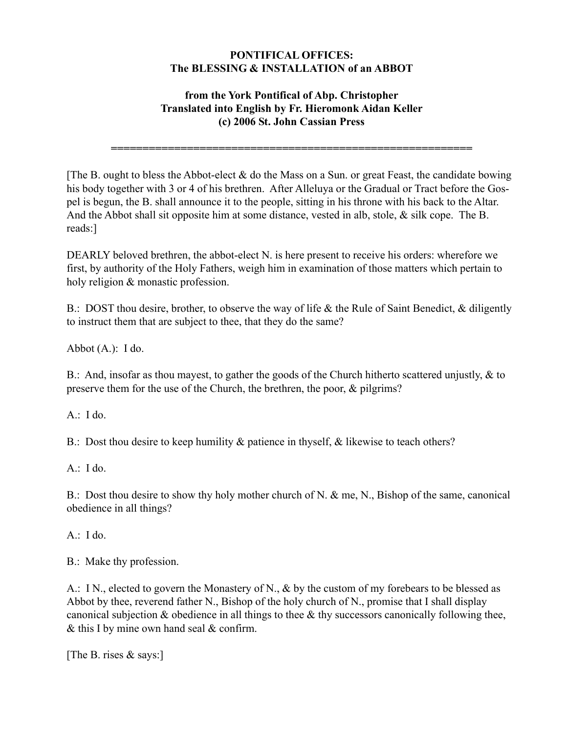#### **PONTIFICAL OFFICES: The BLESSING & INSTALLATION of an ABBOT**

## **from the York Pontifical of Abp. Christopher Translated into English by Fr. Hieromonk Aidan Keller (c) 2006 St. John Cassian Press**

**=========================================================**

[The B. ought to bless the Abbot-elect  $\&$  do the Mass on a Sun. or great Feast, the candidate bowing his body together with 3 or 4 of his brethren. After Alleluya or the Gradual or Tract before the Gospel is begun, the B. shall announce it to the people, sitting in his throne with his back to the Altar. And the Abbot shall sit opposite him at some distance, vested in alb, stole, & silk cope. The B. reads:]

DEARLY beloved brethren, the abbot-elect N. is here present to receive his orders: wherefore we first, by authority of the Holy Fathers, weigh him in examination of those matters which pertain to holy religion & monastic profession.

B.: DOST thou desire, brother, to observe the way of life & the Rule of Saint Benedict, & diligently to instruct them that are subject to thee, that they do the same?

Abbot  $(A.): I$  do.

B.: And, insofar as thou mayest, to gather the goods of the Church hitherto scattered unjustly, & to preserve them for the use of the Church, the brethren, the poor, & pilgrims?

A.: I do.

B.: Dost thou desire to keep humility & patience in thyself, & likewise to teach others?

A.: I do.

B.: Dost thou desire to show thy holy mother church of N. & me, N., Bishop of the same, canonical obedience in all things?

A.: I do.

B.: Make thy profession.

A.: IN., elected to govern the Monastery of N., & by the custom of my forebears to be blessed as Abbot by thee, reverend father N., Bishop of the holy church of N., promise that I shall display canonical subjection  $\&$  obedience in all things to thee  $\&$  thy successors canonically following thee,  $&$  this I by mine own hand seal  $&$  confirm.

[The B. rises & says:]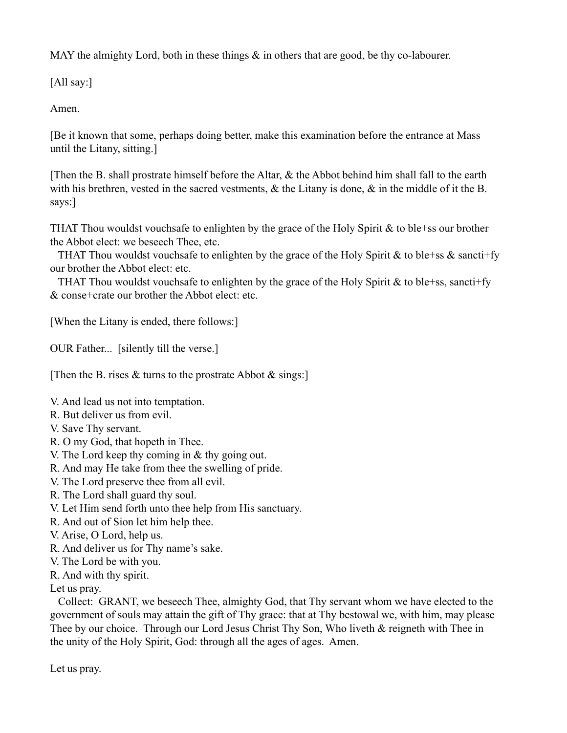MAY the almighty Lord, both in these things  $\&$  in others that are good, be thy co-labourer.

[All say:]

Amen.

[Be it known that some, perhaps doing better, make this examination before the entrance at Mass until the Litany, sitting.]

[Then the B. shall prostrate himself before the Altar, & the Abbot behind him shall fall to the earth with his brethren, vested in the sacred vestments,  $\&$  the Litany is done,  $\&$  in the middle of it the B. says:]

THAT Thou wouldst vouchsafe to enlighten by the grace of the Holy Spirit & to ble+ss our brother the Abbot elect: we beseech Thee, etc.

THAT Thou wouldst vouchsafe to enlighten by the grace of the Holy Spirit & to ble+ss  $\&$  sancti+fy our brother the Abbot elect: etc.

THAT Thou wouldst vouchsafe to enlighten by the grace of the Holy Spirit  $&$  to ble+ss, sancti+fy & conse+crate our brother the Abbot elect: etc.

[When the Litany is ended, there follows:]

OUR Father... [silently till the verse.]

[Then the B. rises  $\&$  turns to the prostrate Abbot  $\&$  sings:]

V. And lead us not into temptation.

- R. But deliver us from evil.
- V. Save Thy servant.
- R. O my God, that hopeth in Thee.
- V. The Lord keep thy coming in & thy going out.
- R. And may He take from thee the swelling of pride.
- V. The Lord preserve thee from all evil.
- R. The Lord shall guard thy soul.
- V. Let Him send forth unto thee help from His sanctuary.
- R. And out of Sion let him help thee.
- V. Arise, O Lord, help us.
- R. And deliver us for Thy name's sake.
- V. The Lord be with you.
- R. And with thy spirit.

Let us pray.

 Collect: GRANT, we beseech Thee, almighty God, that Thy servant whom we have elected to the government of souls may attain the gift of Thy grace: that at Thy bestowal we, with him, may please Thee by our choice. Through our Lord Jesus Christ Thy Son, Who liveth & reigneth with Thee in the unity of the Holy Spirit, God: through all the ages of ages. Amen.

Let us pray.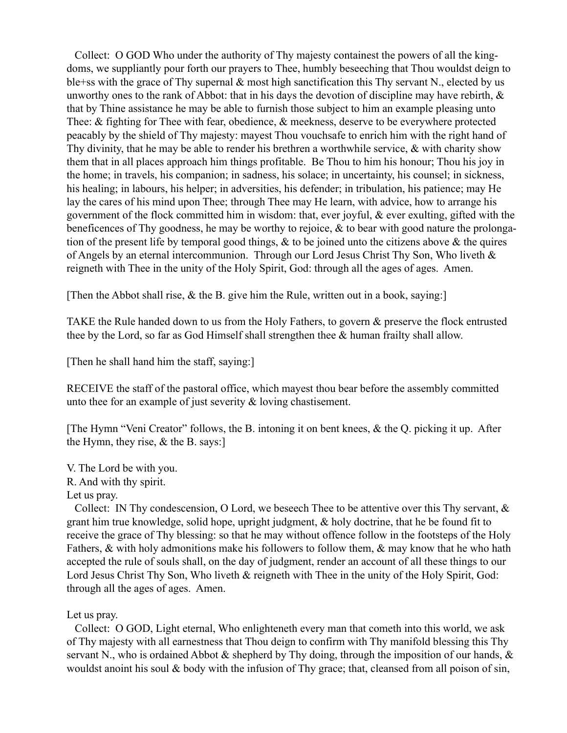Collect: O GOD Who under the authority of Thy majesty containest the powers of all the kingdoms, we suppliantly pour forth our prayers to Thee, humbly beseeching that Thou wouldst deign to ble+ss with the grace of Thy supernal & most high sanctification this Thy servant N., elected by us unworthy ones to the rank of Abbot: that in his days the devotion of discipline may have rebirth,  $\&$ that by Thine assistance he may be able to furnish those subject to him an example pleasing unto Thee: & fighting for Thee with fear, obedience, & meekness, deserve to be everywhere protected peacably by the shield of Thy majesty: mayest Thou vouchsafe to enrich him with the right hand of Thy divinity, that he may be able to render his brethren a worthwhile service, & with charity show them that in all places approach him things profitable. Be Thou to him his honour; Thou his joy in the home; in travels, his companion; in sadness, his solace; in uncertainty, his counsel; in sickness, his healing; in labours, his helper; in adversities, his defender; in tribulation, his patience; may He lay the cares of his mind upon Thee; through Thee may He learn, with advice, how to arrange his government of the flock committed him in wisdom: that, ever joyful, & ever exulting, gifted with the beneficences of Thy goodness, he may be worthy to rejoice, & to bear with good nature the prolongation of the present life by temporal good things,  $\&$  to be joined unto the citizens above  $\&$  the quires of Angels by an eternal intercommunion. Through our Lord Jesus Christ Thy Son, Who liveth & reigneth with Thee in the unity of the Holy Spirit, God: through all the ages of ages. Amen.

[Then the Abbot shall rise, & the B. give him the Rule, written out in a book, saying:]

TAKE the Rule handed down to us from the Holy Fathers, to govern & preserve the flock entrusted thee by the Lord, so far as God Himself shall strengthen thee & human frailty shall allow.

[Then he shall hand him the staff, saying:]

RECEIVE the staff of the pastoral office, which mayest thou bear before the assembly committed unto thee for an example of just severity & loving chastisement.

[The Hymn "Veni Creator" follows, the B. intoning it on bent knees, & the Q. picking it up. After the Hymn, they rise,  $&$  the B. says:

V. The Lord be with you. R. And with thy spirit. Let us pray.

 Collect: IN Thy condescension, O Lord, we beseech Thee to be attentive over this Thy servant, & grant him true knowledge, solid hope, upright judgment, & holy doctrine, that he be found fit to receive the grace of Thy blessing: so that he may without offence follow in the footsteps of the Holy Fathers, & with holy admonitions make his followers to follow them, & may know that he who hath accepted the rule of souls shall, on the day of judgment, render an account of all these things to our Lord Jesus Christ Thy Son, Who liveth & reigneth with Thee in the unity of the Holy Spirit, God: through all the ages of ages. Amen.

### Let us pray.

 Collect: O GOD, Light eternal, Who enlighteneth every man that cometh into this world, we ask of Thy majesty with all earnestness that Thou deign to confirm with Thy manifold blessing this Thy servant N., who is ordained Abbot  $\&$  shepherd by Thy doing, through the imposition of our hands,  $\&$ wouldst anoint his soul  $\&$  body with the infusion of Thy grace; that, cleansed from all poison of sin,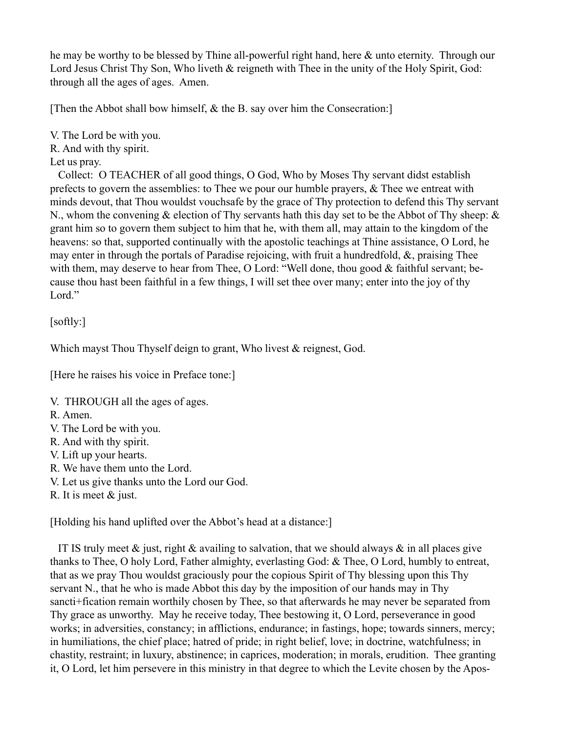he may be worthy to be blessed by Thine all-powerful right hand, here & unto eternity. Through our Lord Jesus Christ Thy Son, Who liveth & reigneth with Thee in the unity of the Holy Spirit, God: through all the ages of ages. Amen.

[Then the Abbot shall bow himself, & the B. say over him the Consecration:]

V. The Lord be with you.

R. And with thy spirit.

Let us pray.

 Collect: O TEACHER of all good things, O God, Who by Moses Thy servant didst establish prefects to govern the assemblies: to Thee we pour our humble prayers, & Thee we entreat with minds devout, that Thou wouldst vouchsafe by the grace of Thy protection to defend this Thy servant N., whom the convening  $\&$  election of Thy servants hath this day set to be the Abbot of Thy sheep:  $\&$ grant him so to govern them subject to him that he, with them all, may attain to the kingdom of the heavens: so that, supported continually with the apostolic teachings at Thine assistance, O Lord, he may enter in through the portals of Paradise rejoicing, with fruit a hundredfold, &, praising Thee with them, may deserve to hear from Thee, O Lord: "Well done, thou good & faithful servant; because thou hast been faithful in a few things, I will set thee over many; enter into the joy of thy Lord."

[softly:]

Which mayst Thou Thyself deign to grant, Who livest & reignest, God.

[Here he raises his voice in Preface tone:]

V. THROUGH all the ages of ages.

R. Amen.

- V. The Lord be with you.
- R. And with thy spirit.
- V. Lift up your hearts.
- R. We have them unto the Lord.
- V. Let us give thanks unto the Lord our God.

R. It is meet & just.

[Holding his hand uplifted over the Abbot's head at a distance:]

IT IS truly meet  $\&$  just, right  $\&$  availing to salvation, that we should always  $\&$  in all places give thanks to Thee, O holy Lord, Father almighty, everlasting God: & Thee, O Lord, humbly to entreat, that as we pray Thou wouldst graciously pour the copious Spirit of Thy blessing upon this Thy servant N., that he who is made Abbot this day by the imposition of our hands may in Thy sancti+fication remain worthily chosen by Thee, so that afterwards he may never be separated from Thy grace as unworthy. May he receive today, Thee bestowing it, O Lord, perseverance in good works; in adversities, constancy; in afflictions, endurance; in fastings, hope; towards sinners, mercy; in humiliations, the chief place; hatred of pride; in right belief, love; in doctrine, watchfulness; in chastity, restraint; in luxury, abstinence; in caprices, moderation; in morals, erudition. Thee granting it, O Lord, let him persevere in this ministry in that degree to which the Levite chosen by the Apos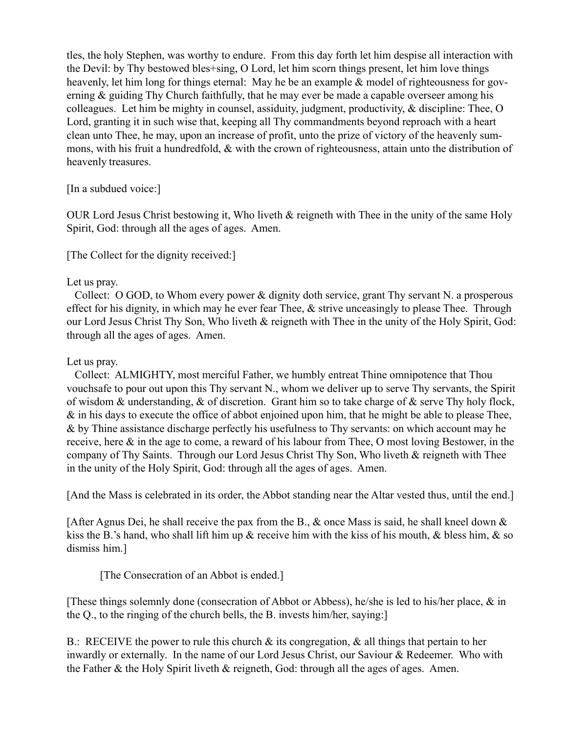tles, the holy Stephen, was worthy to endure. From this day forth let him despise all interaction with the Devil: by Thy bestowed bles+sing, O Lord, let him scorn things present, let him love things heavenly, let him long for things eternal: May he be an example & model of righteousness for governing & guiding Thy Church faithfully, that he may ever be made a capable overseer among his colleagues. Let him be mighty in counsel, assiduity, judgment, productivity, & discipline: Thee, O Lord, granting it in such wise that, keeping all Thy commandments beyond reproach with a heart clean unto Thee, he may, upon an increase of profit, unto the prize of victory of the heavenly summons, with his fruit a hundredfold, & with the crown of righteousness, attain unto the distribution of heavenly treasures.

### [In a subdued voice:]

OUR Lord Jesus Christ bestowing it, Who liveth & reigneth with Thee in the unity of the same Holy Spirit, God: through all the ages of ages. Amen.

[The Collect for the dignity received:]

## Let us pray.

 Collect: O GOD, to Whom every power & dignity doth service, grant Thy servant N. a prosperous effect for his dignity, in which may he ever fear Thee,  $\&$  strive unceasingly to please Thee. Through our Lord Jesus Christ Thy Son, Who liveth & reigneth with Thee in the unity of the Holy Spirit, God: through all the ages of ages. Amen.

## Let us pray.

 Collect: ALMIGHTY, most merciful Father, we humbly entreat Thine omnipotence that Thou vouchsafe to pour out upon this Thy servant N., whom we deliver up to serve Thy servants, the Spirit of wisdom & understanding, & of discretion. Grant him so to take charge of & serve Thy holy flock, & in his days to execute the office of abbot enjoined upon him, that he might be able to please Thee, & by Thine assistance discharge perfectly his usefulness to Thy servants: on which account may he receive, here & in the age to come, a reward of his labour from Thee, O most loving Bestower, in the company of Thy Saints. Through our Lord Jesus Christ Thy Son, Who liveth & reigneth with Thee in the unity of the Holy Spirit, God: through all the ages of ages. Amen.

[And the Mass is celebrated in its order, the Abbot standing near the Altar vested thus, until the end.]

[After Agnus Dei, he shall receive the pax from the B., & once Mass is said, he shall kneel down & kiss the B.'s hand, who shall lift him up  $\&$  receive him with the kiss of his mouth,  $\&$  bless him,  $\&$  so dismiss him.]

# [The Consecration of an Abbot is ended.]

[These things solemnly done (consecration of Abbot or Abbess), he/she is led to his/her place,  $\&$  in the Q., to the ringing of the church bells, the B. invests him/her, saying:]

B.: RECEIVE the power to rule this church  $\&$  its congregation,  $\&$  all things that pertain to her inwardly or externally. In the name of our Lord Jesus Christ, our Saviour & Redeemer. Who with the Father & the Holy Spirit liveth & reigneth, God: through all the ages of ages. Amen.